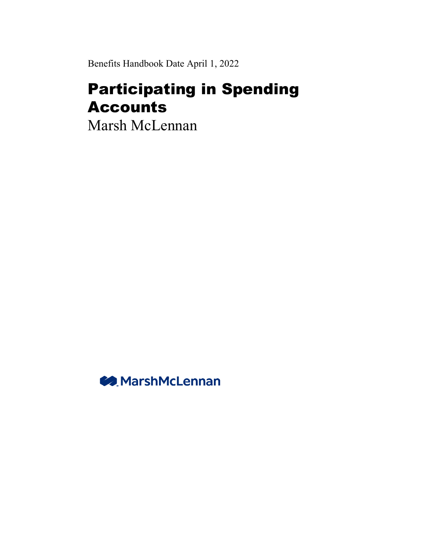Benefits Handbook Date April 1, 2022

# Participating in Spending Accounts

Marsh McLennan

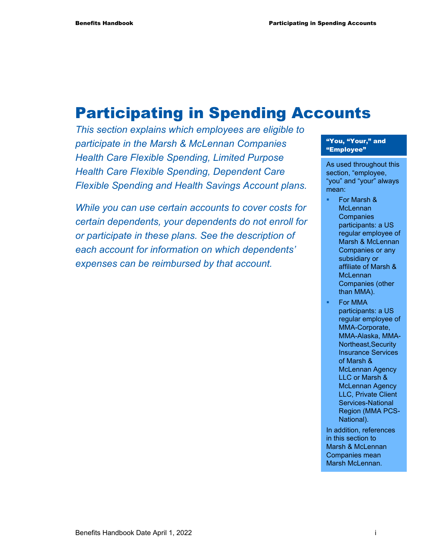# Participating in Spending Accounts

*This section explains which employees are eligible to participate in the Marsh & McLennan Companies Health Care Flexible Spending, Limited Purpose Health Care Flexible Spending, Dependent Care Flexible Spending and Health Savings Account plans.* 

*While you can use certain accounts to cover costs for certain dependents, your dependents do not enroll for or participate in these plans. See the description of each account for information on which dependents' expenses can be reimbursed by that account.* 

#### "You, "Your," and "Employee"

As used throughout this section, "employee, "you" and "your" always mean:

- For Marsh & **McLennan Companies** participants: a US regular employee of Marsh & McLennan Companies or any subsidiary or affiliate of Marsh & **McLennan** Companies (other than MMA).
- For MMA participants: a US regular employee of MMA-Corporate, MMA-Alaska, MMA-Northeast,Security Insurance Services of Marsh & McLennan Agency LLC or Marsh & McLennan Agency LLC, Private Client Services-National Region (MMA PCS-National).
- In addition, references in this section to Marsh & McLennan Companies mean Marsh McLennan.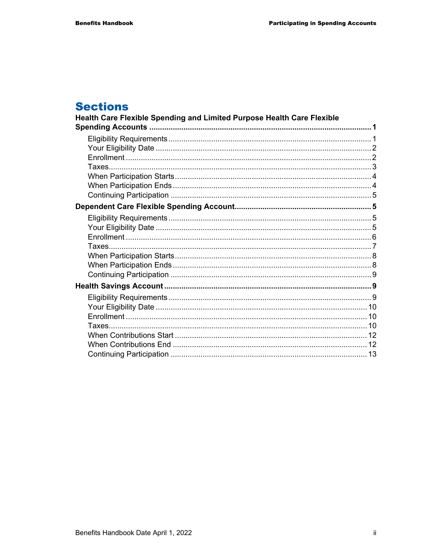# **Sections**

| Health Care Flexible Spending and Limited Purpose Health Care Flexible |  |
|------------------------------------------------------------------------|--|
|                                                                        |  |
|                                                                        |  |
|                                                                        |  |
|                                                                        |  |
|                                                                        |  |
|                                                                        |  |
|                                                                        |  |
|                                                                        |  |
|                                                                        |  |
|                                                                        |  |
|                                                                        |  |
|                                                                        |  |
|                                                                        |  |
|                                                                        |  |
|                                                                        |  |
|                                                                        |  |
|                                                                        |  |
|                                                                        |  |
|                                                                        |  |
|                                                                        |  |
|                                                                        |  |
|                                                                        |  |
|                                                                        |  |
|                                                                        |  |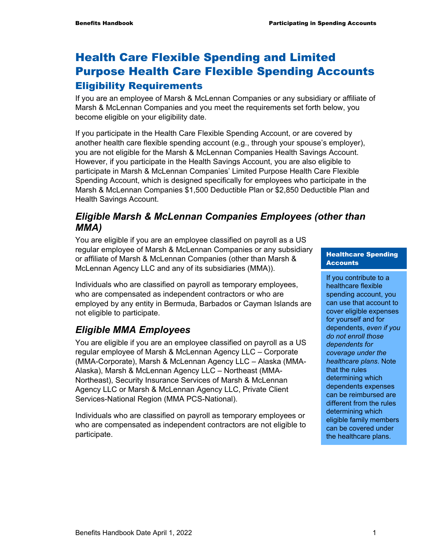# Health Care Flexible Spending and Limited Purpose Health Care Flexible Spending Accounts Eligibility Requirements

If you are an employee of Marsh & McLennan Companies or any subsidiary or affiliate of Marsh & McLennan Companies and you meet the requirements set forth below, you become eligible on your eligibility date.

If you participate in the Health Care Flexible Spending Account, or are covered by another health care flexible spending account (e.g., through your spouse's employer), you are not eligible for the Marsh & McLennan Companies Health Savings Account. However, if you participate in the Health Savings Account, you are also eligible to participate in Marsh & McLennan Companies' Limited Purpose Health Care Flexible Spending Account, which is designed specifically for employees who participate in the Marsh & McLennan Companies \$1,500 Deductible Plan or \$2,850 Deductible Plan and Health Savings Account.

# *Eligible Marsh & McLennan Companies Employees (other than MMA)*

You are eligible if you are an employee classified on payroll as a US regular employee of Marsh & McLennan Companies or any subsidiary or affiliate of Marsh & McLennan Companies (other than Marsh & McLennan Agency LLC and any of its subsidiaries (MMA)).

Individuals who are classified on payroll as temporary employees, who are compensated as independent contractors or who are employed by any entity in Bermuda, Barbados or Cayman Islands are not eligible to participate.

# *Eligible MMA Employees*

You are eligible if you are an employee classified on payroll as a US regular employee of Marsh & McLennan Agency LLC – Corporate (MMA-Corporate), Marsh & McLennan Agency LLC – Alaska (MMA-Alaska), Marsh & McLennan Agency LLC – Northeast (MMA-Northeast), Security Insurance Services of Marsh & McLennan Agency LLC or Marsh & McLennan Agency LLC, Private Client Services-National Region (MMA PCS-National).

Individuals who are classified on payroll as temporary employees or who are compensated as independent contractors are not eligible to participate.

#### Healthcare Spending **Accounts**

If you contribute to a healthcare flexible spending account, you can use that account to cover eligible expenses for yourself and for dependents, *even if you do not enroll those dependents for coverage under the healthcare plans*. Note that the rules determining which dependents expenses can be reimbursed are different from the rules determining which eligible family members can be covered under the healthcare plans.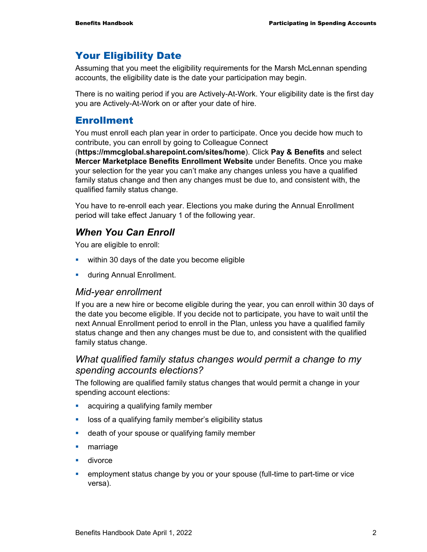# Your Eligibility Date

Assuming that you meet the eligibility requirements for the Marsh McLennan spending accounts, the eligibility date is the date your participation may begin.

There is no waiting period if you are Actively-At-Work. Your eligibility date is the first day you are Actively-At-Work on or after your date of hire.

# Enrollment

You must enroll each plan year in order to participate. Once you decide how much to contribute, you can enroll by going to Colleague Connect

(**https://mmcglobal.sharepoint.com/sites/home**). Click **Pay & Benefits** and select **Mercer Marketplace Benefits Enrollment Website** under Benefits. Once you make your selection for the year you can't make any changes unless you have a qualified family status change and then any changes must be due to, and consistent with, the qualified family status change.

You have to re-enroll each year. Elections you make during the Annual Enrollment period will take effect January 1 of the following year.

# *When You Can Enroll*

You are eligible to enroll:

- **within 30 days of the date you become eligible**
- **u.** during Annual Enrollment.

#### *Mid-year enrollment*

If you are a new hire or become eligible during the year, you can enroll within 30 days of the date you become eligible. If you decide not to participate, you have to wait until the next Annual Enrollment period to enroll in the Plan, unless you have a qualified family status change and then any changes must be due to, and consistent with the qualified family status change.

#### *What qualified family status changes would permit a change to my spending accounts elections?*

The following are qualified family status changes that would permit a change in your spending account elections:

- **acquiring a qualifying family member**
- **If** loss of a qualifying family member's eligibility status
- **-** death of your spouse or qualifying family member
- **•** marriage
- **divorce**
- employment status change by you or your spouse (full-time to part-time or vice versa).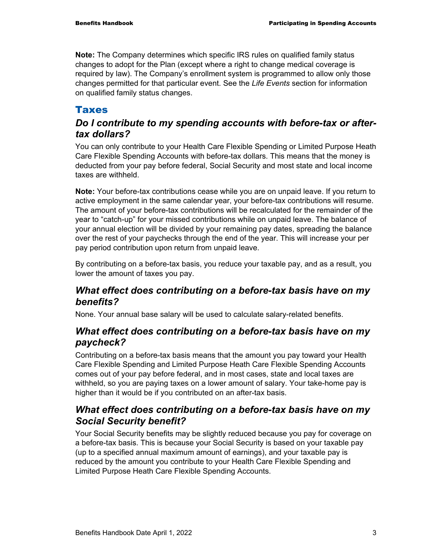**Note:** The Company determines which specific IRS rules on qualified family status changes to adopt for the Plan (except where a right to change medical coverage is required by law). The Company's enrollment system is programmed to allow only those changes permitted for that particular event. See the *Life Events* section for information on qualified family status changes.

# **Taxes**

# *Do I contribute to my spending accounts with before-tax or aftertax dollars?*

You can only contribute to your Health Care Flexible Spending or Limited Purpose Heath Care Flexible Spending Accounts with before-tax dollars. This means that the money is deducted from your pay before federal, Social Security and most state and local income taxes are withheld.

**Note:** Your before-tax contributions cease while you are on unpaid leave. If you return to active employment in the same calendar year, your before-tax contributions will resume. The amount of your before-tax contributions will be recalculated for the remainder of the year to "catch-up" for your missed contributions while on unpaid leave. The balance of your annual election will be divided by your remaining pay dates, spreading the balance over the rest of your paychecks through the end of the year. This will increase your per pay period contribution upon return from unpaid leave.

By contributing on a before-tax basis, you reduce your taxable pay, and as a result, you lower the amount of taxes you pay.

# *What effect does contributing on a before-tax basis have on my benefits?*

None. Your annual base salary will be used to calculate salary-related benefits.

# *What effect does contributing on a before-tax basis have on my paycheck?*

Contributing on a before-tax basis means that the amount you pay toward your Health Care Flexible Spending and Limited Purpose Heath Care Flexible Spending Accounts comes out of your pay before federal, and in most cases, state and local taxes are withheld, so you are paying taxes on a lower amount of salary. Your take-home pay is higher than it would be if you contributed on an after-tax basis.

# *What effect does contributing on a before-tax basis have on my Social Security benefit?*

Your Social Security benefits may be slightly reduced because you pay for coverage on a before-tax basis. This is because your Social Security is based on your taxable pay (up to a specified annual maximum amount of earnings), and your taxable pay is reduced by the amount you contribute to your Health Care Flexible Spending and Limited Purpose Heath Care Flexible Spending Accounts.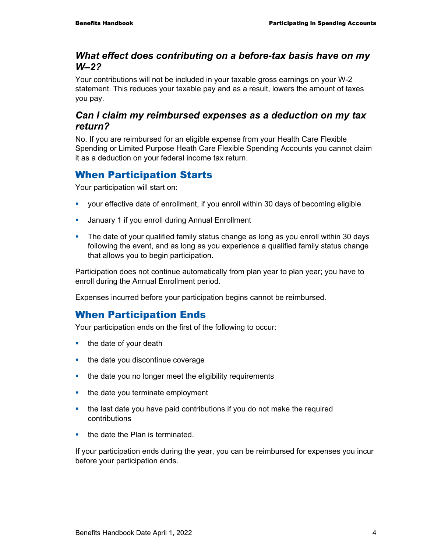## *What effect does contributing on a before-tax basis have on my W–2?*

Your contributions will not be included in your taxable gross earnings on your W-2 statement. This reduces your taxable pay and as a result, lowers the amount of taxes you pay.

# *Can I claim my reimbursed expenses as a deduction on my tax return?*

No. If you are reimbursed for an eligible expense from your Health Care Flexible Spending or Limited Purpose Heath Care Flexible Spending Accounts you cannot claim it as a deduction on your federal income tax return.

# When Participation Starts

Your participation will start on:

- your effective date of enrollment, if you enroll within 30 days of becoming eligible
- **January 1 if you enroll during Annual Enrollment**
- The date of your qualified family status change as long as you enroll within 30 days following the event, and as long as you experience a qualified family status change that allows you to begin participation.

Participation does not continue automatically from plan year to plan year; you have to enroll during the Annual Enrollment period.

Expenses incurred before your participation begins cannot be reimbursed.

# When Participation Ends

Your participation ends on the first of the following to occur:

- $\blacksquare$  the date of your death
- the date you discontinue coverage
- the date you no longer meet the eligibility requirements
- $\blacksquare$  the date you terminate employment
- the last date you have paid contributions if you do not make the required contributions
- $\blacksquare$  the date the Plan is terminated.

If your participation ends during the year, you can be reimbursed for expenses you incur before your participation ends.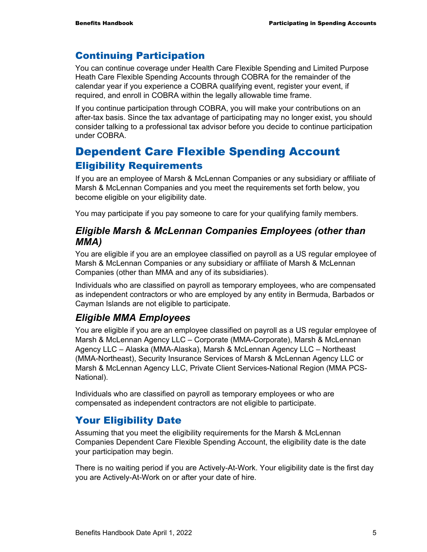# Continuing Participation

You can continue coverage under Health Care Flexible Spending and Limited Purpose Heath Care Flexible Spending Accounts through COBRA for the remainder of the calendar year if you experience a COBRA qualifying event, register your event, if required, and enroll in COBRA within the legally allowable time frame.

If you continue participation through COBRA, you will make your contributions on an after-tax basis. Since the tax advantage of participating may no longer exist, you should consider talking to a professional tax advisor before you decide to continue participation under COBRA.

# Dependent Care Flexible Spending Account Eligibility Requirements

If you are an employee of Marsh & McLennan Companies or any subsidiary or affiliate of Marsh & McLennan Companies and you meet the requirements set forth below, you become eligible on your eligibility date.

You may participate if you pay someone to care for your qualifying family members.

# *Eligible Marsh & McLennan Companies Employees (other than MMA)*

You are eligible if you are an employee classified on payroll as a US regular employee of Marsh & McLennan Companies or any subsidiary or affiliate of Marsh & McLennan Companies (other than MMA and any of its subsidiaries).

Individuals who are classified on payroll as temporary employees, who are compensated as independent contractors or who are employed by any entity in Bermuda, Barbados or Cayman Islands are not eligible to participate.

# *Eligible MMA Employees*

You are eligible if you are an employee classified on payroll as a US regular employee of Marsh & McLennan Agency LLC – Corporate (MMA-Corporate), Marsh & McLennan Agency LLC – Alaska (MMA-Alaska), Marsh & McLennan Agency LLC – Northeast (MMA-Northeast), Security Insurance Services of Marsh & McLennan Agency LLC or Marsh & McLennan Agency LLC, Private Client Services-National Region (MMA PCS-National).

Individuals who are classified on payroll as temporary employees or who are compensated as independent contractors are not eligible to participate.

# Your Eligibility Date

Assuming that you meet the eligibility requirements for the Marsh & McLennan Companies Dependent Care Flexible Spending Account, the eligibility date is the date your participation may begin.

There is no waiting period if you are Actively-At-Work. Your eligibility date is the first day you are Actively-At-Work on or after your date of hire.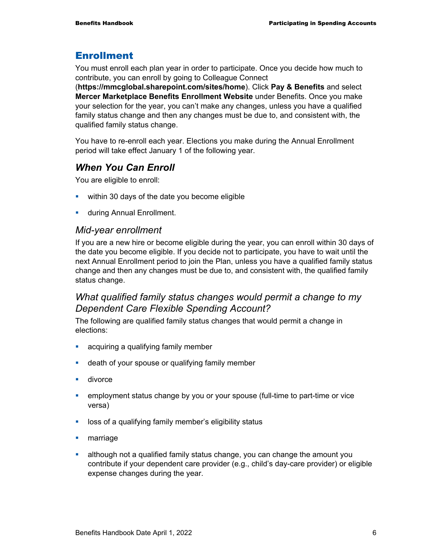# Enrollment

You must enroll each plan year in order to participate. Once you decide how much to contribute, you can enroll by going to Colleague Connect

(**https://mmcglobal.sharepoint.com/sites/home**). Click **Pay & Benefits** and select **Mercer Marketplace Benefits Enrollment Website** under Benefits. Once you make your selection for the year, you can't make any changes, unless you have a qualified family status change and then any changes must be due to, and consistent with, the qualified family status change.

You have to re-enroll each year. Elections you make during the Annual Enrollment period will take effect January 1 of the following year.

# *When You Can Enroll*

You are eligible to enroll:

- **within 30 days of the date you become eligible**
- **u.** during Annual Enrollment.

#### *Mid-year enrollment*

If you are a new hire or become eligible during the year, you can enroll within 30 days of the date you become eligible. If you decide not to participate, you have to wait until the next Annual Enrollment period to join the Plan, unless you have a qualified family status change and then any changes must be due to, and consistent with, the qualified family status change.

# *What qualified family status changes would permit a change to my Dependent Care Flexible Spending Account?*

The following are qualified family status changes that would permit a change in elections:

- **acquiring a qualifying family member**
- **EXEDEE 13** death of your spouse or qualifying family member
- divorce
- employment status change by you or your spouse (full-time to part-time or vice versa)
- **-** loss of a qualifying family member's eligibility status
- **narriage**
- although not a qualified family status change, you can change the amount you contribute if your dependent care provider (e.g., child's day-care provider) or eligible expense changes during the year.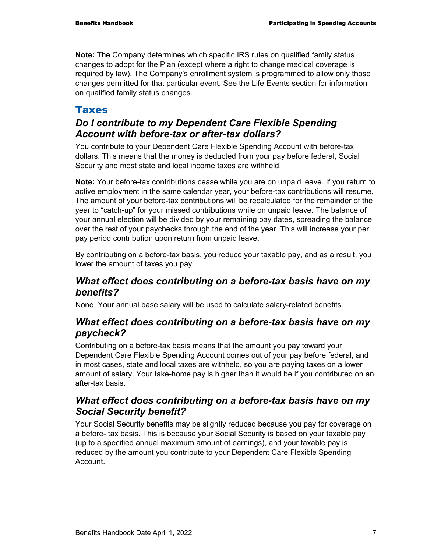**Note:** The Company determines which specific IRS rules on qualified family status changes to adopt for the Plan (except where a right to change medical coverage is required by law). The Company's enrollment system is programmed to allow only those changes permitted for that particular event. See the Life Events section for information on qualified family status changes.

# **Taxes**

# *Do I contribute to my Dependent Care Flexible Spending Account with before-tax or after-tax dollars?*

You contribute to your Dependent Care Flexible Spending Account with before-tax dollars. This means that the money is deducted from your pay before federal, Social Security and most state and local income taxes are withheld.

**Note:** Your before-tax contributions cease while you are on unpaid leave. If you return to active employment in the same calendar year, your before-tax contributions will resume. The amount of your before-tax contributions will be recalculated for the remainder of the year to "catch-up" for your missed contributions while on unpaid leave. The balance of your annual election will be divided by your remaining pay dates, spreading the balance over the rest of your paychecks through the end of the year. This will increase your per pay period contribution upon return from unpaid leave.

By contributing on a before-tax basis, you reduce your taxable pay, and as a result, you lower the amount of taxes you pay.

# *What effect does contributing on a before-tax basis have on my benefits?*

None. Your annual base salary will be used to calculate salary-related benefits.

# *What effect does contributing on a before-tax basis have on my paycheck?*

Contributing on a before-tax basis means that the amount you pay toward your Dependent Care Flexible Spending Account comes out of your pay before federal, and in most cases, state and local taxes are withheld, so you are paying taxes on a lower amount of salary. Your take-home pay is higher than it would be if you contributed on an after-tax basis.

# *What effect does contributing on a before-tax basis have on my Social Security benefit?*

Your Social Security benefits may be slightly reduced because you pay for coverage on a before- tax basis. This is because your Social Security is based on your taxable pay (up to a specified annual maximum amount of earnings), and your taxable pay is reduced by the amount you contribute to your Dependent Care Flexible Spending **Account**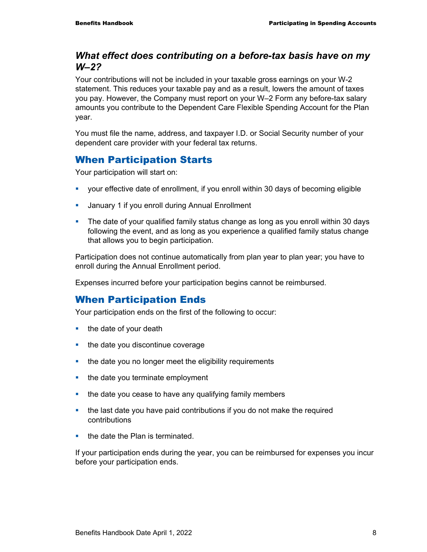# *What effect does contributing on a before-tax basis have on my W–2?*

Your contributions will not be included in your taxable gross earnings on your W-2 statement. This reduces your taxable pay and as a result, lowers the amount of taxes you pay. However, the Company must report on your W–2 Form any before-tax salary amounts you contribute to the Dependent Care Flexible Spending Account for the Plan year.

You must file the name, address, and taxpayer I.D. or Social Security number of your dependent care provider with your federal tax returns.

# When Participation Starts

Your participation will start on:

- your effective date of enrollment, if you enroll within 30 days of becoming eligible
- **January 1 if you enroll during Annual Enrollment**
- The date of your qualified family status change as long as you enroll within 30 days following the event, and as long as you experience a qualified family status change that allows you to begin participation.

Participation does not continue automatically from plan year to plan year; you have to enroll during the Annual Enrollment period.

Expenses incurred before your participation begins cannot be reimbursed.

# When Participation Ends

Your participation ends on the first of the following to occur:

- $\blacksquare$  the date of your death
- the date you discontinue coverage
- the date you no longer meet the eligibility requirements
- $\blacksquare$  the date you terminate employment
- the date you cease to have any qualifying family members
- the last date you have paid contributions if you do not make the required contributions
- $\blacksquare$  the date the Plan is terminated.

If your participation ends during the year, you can be reimbursed for expenses you incur before your participation ends.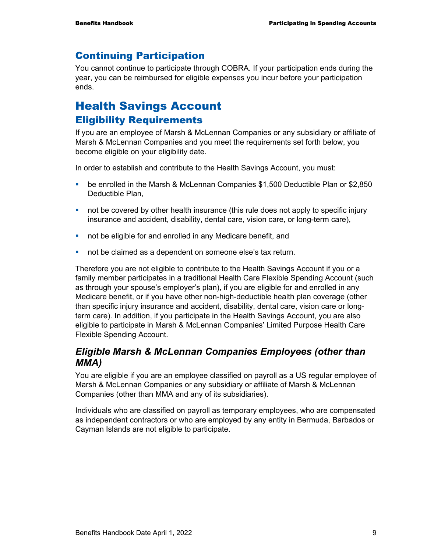# Continuing Participation

You cannot continue to participate through COBRA. If your participation ends during the year, you can be reimbursed for eligible expenses you incur before your participation ends.

# Health Savings Account Eligibility Requirements

If you are an employee of Marsh & McLennan Companies or any subsidiary or affiliate of Marsh & McLennan Companies and you meet the requirements set forth below, you become eligible on your eligibility date.

In order to establish and contribute to the Health Savings Account, you must:

- be enrolled in the Marsh & McLennan Companies \$1,500 Deductible Plan or \$2,850 Deductible Plan,
- not be covered by other health insurance (this rule does not apply to specific injury insurance and accident, disability, dental care, vision care, or long-term care),
- not be eligible for and enrolled in any Medicare benefit, and
- not be claimed as a dependent on someone else's tax return.

Therefore you are not eligible to contribute to the Health Savings Account if you or a family member participates in a traditional Health Care Flexible Spending Account (such as through your spouse's employer's plan), if you are eligible for and enrolled in any Medicare benefit, or if you have other non-high-deductible health plan coverage (other than specific injury insurance and accident, disability, dental care, vision care or longterm care). In addition, if you participate in the Health Savings Account, you are also eligible to participate in Marsh & McLennan Companies' Limited Purpose Health Care Flexible Spending Account.

# *Eligible Marsh & McLennan Companies Employees (other than MMA)*

You are eligible if you are an employee classified on payroll as a US regular employee of Marsh & McLennan Companies or any subsidiary or affiliate of Marsh & McLennan Companies (other than MMA and any of its subsidiaries).

Individuals who are classified on payroll as temporary employees, who are compensated as independent contractors or who are employed by any entity in Bermuda, Barbados or Cayman Islands are not eligible to participate.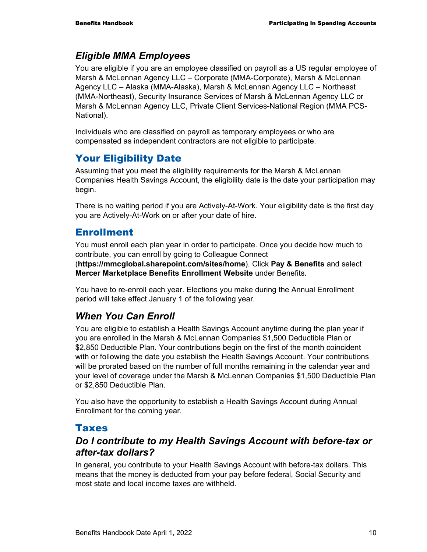# *Eligible MMA Employees*

You are eligible if you are an employee classified on payroll as a US regular employee of Marsh & McLennan Agency LLC – Corporate (MMA-Corporate), Marsh & McLennan Agency LLC – Alaska (MMA-Alaska), Marsh & McLennan Agency LLC – Northeast (MMA-Northeast), Security Insurance Services of Marsh & McLennan Agency LLC or Marsh & McLennan Agency LLC, Private Client Services-National Region (MMA PCS-National).

Individuals who are classified on payroll as temporary employees or who are compensated as independent contractors are not eligible to participate.

# Your Eligibility Date

Assuming that you meet the eligibility requirements for the Marsh & McLennan Companies Health Savings Account, the eligibility date is the date your participation may begin.

There is no waiting period if you are Actively-At-Work. Your eligibility date is the first day you are Actively-At-Work on or after your date of hire.

# Enrollment

You must enroll each plan year in order to participate. Once you decide how much to contribute, you can enroll by going to Colleague Connect (**https://mmcglobal.sharepoint.com/sites/home**). Click **Pay & Benefits** and select **Mercer Marketplace Benefits Enrollment Website** under Benefits.

You have to re-enroll each year. Elections you make during the Annual Enrollment period will take effect January 1 of the following year.

# *When You Can Enroll*

You are eligible to establish a Health Savings Account anytime during the plan year if you are enrolled in the Marsh & McLennan Companies \$1,500 Deductible Plan or \$2,850 Deductible Plan. Your contributions begin on the first of the month coincident with or following the date you establish the Health Savings Account. Your contributions will be prorated based on the number of full months remaining in the calendar year and your level of coverage under the Marsh & McLennan Companies \$1,500 Deductible Plan or \$2,850 Deductible Plan.

You also have the opportunity to establish a Health Savings Account during Annual Enrollment for the coming year.

# Taxes

# *Do I contribute to my Health Savings Account with before-tax or after-tax dollars?*

In general, you contribute to your Health Savings Account with before-tax dollars. This means that the money is deducted from your pay before federal, Social Security and most state and local income taxes are withheld.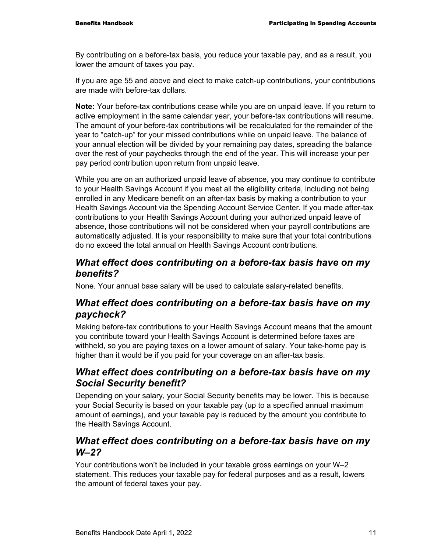By contributing on a before-tax basis, you reduce your taxable pay, and as a result, you lower the amount of taxes you pay.

If you are age 55 and above and elect to make catch-up contributions, your contributions are made with before-tax dollars.

**Note:** Your before-tax contributions cease while you are on unpaid leave. If you return to active employment in the same calendar year, your before-tax contributions will resume. The amount of your before-tax contributions will be recalculated for the remainder of the year to "catch-up" for your missed contributions while on unpaid leave. The balance of your annual election will be divided by your remaining pay dates, spreading the balance over the rest of your paychecks through the end of the year. This will increase your per pay period contribution upon return from unpaid leave.

While you are on an authorized unpaid leave of absence, you may continue to contribute to your Health Savings Account if you meet all the eligibility criteria, including not being enrolled in any Medicare benefit on an after-tax basis by making a contribution to your Health Savings Account via the Spending Account Service Center. If you made after-tax contributions to your Health Savings Account during your authorized unpaid leave of absence, those contributions will not be considered when your payroll contributions are automatically adjusted. It is your responsibility to make sure that your total contributions do no exceed the total annual on Health Savings Account contributions.

# *What effect does contributing on a before-tax basis have on my benefits?*

None. Your annual base salary will be used to calculate salary-related benefits.

# *What effect does contributing on a before-tax basis have on my paycheck?*

Making before-tax contributions to your Health Savings Account means that the amount you contribute toward your Health Savings Account is determined before taxes are withheld, so you are paying taxes on a lower amount of salary. Your take-home pay is higher than it would be if you paid for your coverage on an after-tax basis.

# *What effect does contributing on a before-tax basis have on my Social Security benefit?*

Depending on your salary, your Social Security benefits may be lower. This is because your Social Security is based on your taxable pay (up to a specified annual maximum amount of earnings), and your taxable pay is reduced by the amount you contribute to the Health Savings Account.

# *What effect does contributing on a before-tax basis have on my W–2?*

Your contributions won't be included in your taxable gross earnings on your W–2 statement. This reduces your taxable pay for federal purposes and as a result, lowers the amount of federal taxes your pay.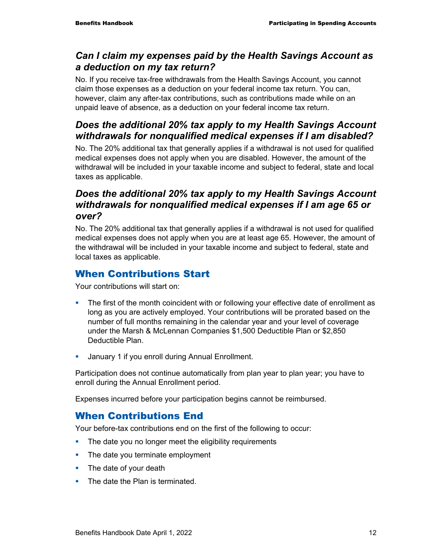# *Can I claim my expenses paid by the Health Savings Account as a deduction on my tax return?*

No. If you receive tax-free withdrawals from the Health Savings Account, you cannot claim those expenses as a deduction on your federal income tax return. You can, however, claim any after-tax contributions, such as contributions made while on an unpaid leave of absence, as a deduction on your federal income tax return.

# *Does the additional 20% tax apply to my Health Savings Account withdrawals for nonqualified medical expenses if I am disabled?*

No. The 20% additional tax that generally applies if a withdrawal is not used for qualified medical expenses does not apply when you are disabled. However, the amount of the withdrawal will be included in your taxable income and subject to federal, state and local taxes as applicable.

# *Does the additional 20% tax apply to my Health Savings Account withdrawals for nonqualified medical expenses if I am age 65 or over?*

No. The 20% additional tax that generally applies if a withdrawal is not used for qualified medical expenses does not apply when you are at least age 65. However, the amount of the withdrawal will be included in your taxable income and subject to federal, state and local taxes as applicable.

# When Contributions Start

Your contributions will start on:

- The first of the month coincident with or following your effective date of enrollment as long as you are actively employed. Your contributions will be prorated based on the number of full months remaining in the calendar year and your level of coverage under the Marsh & McLennan Companies \$1,500 Deductible Plan or \$2,850 Deductible Plan.
- **January 1 if you enroll during Annual Enrollment.**

Participation does not continue automatically from plan year to plan year; you have to enroll during the Annual Enrollment period.

Expenses incurred before your participation begins cannot be reimbursed.

# When Contributions End

Your before-tax contributions end on the first of the following to occur:

- The date you no longer meet the eligibility requirements
- The date you terminate employment
- The date of your death
- The date the Plan is terminated.